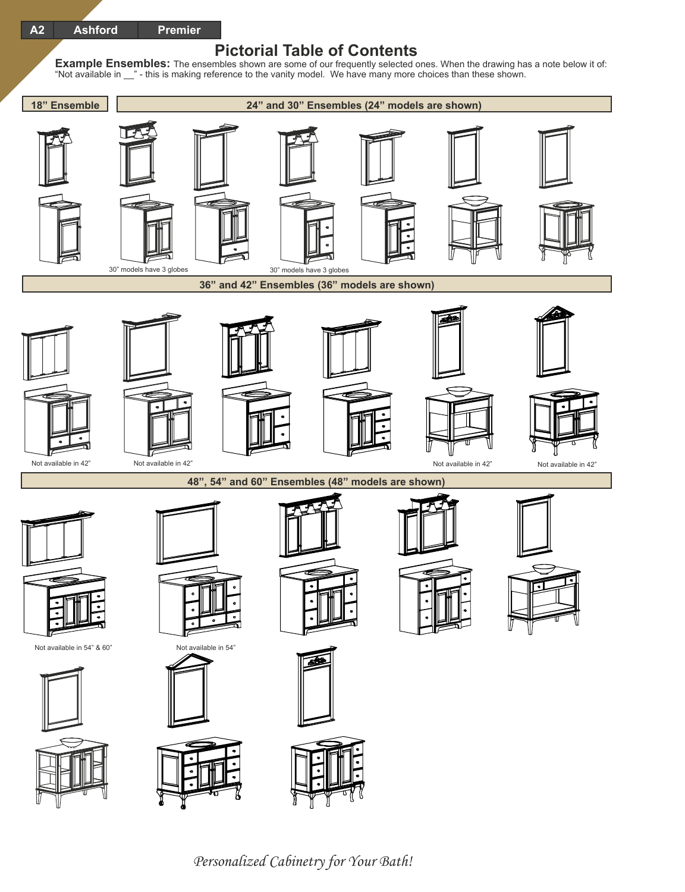## **Pictorial Table of Contents**

**Example Ensembles:** The ensembles shown are some of our frequently selected ones. When the drawing has a note below it of: "Not available in \_\_" - this is making reference to the vanity model. We have many more choices than these shown.



Personalized Cabinetry for Your Bath!